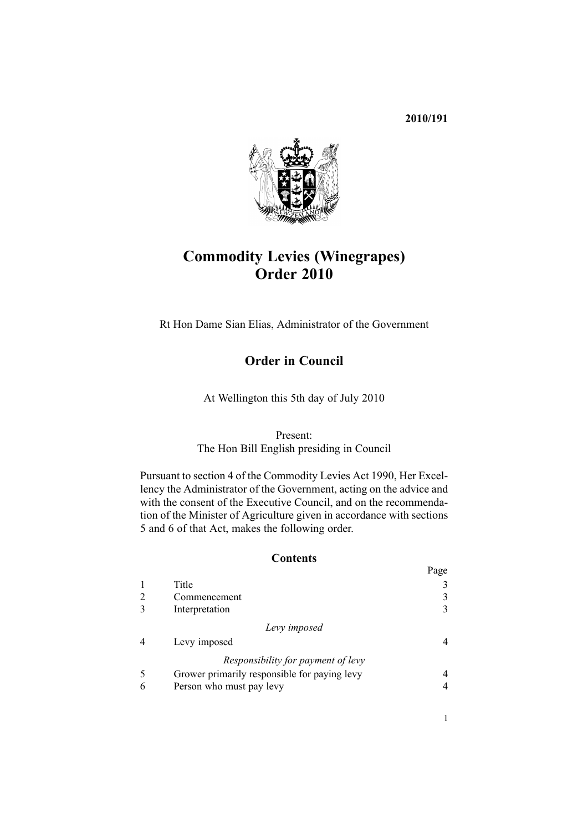## **2010/191**



# **Commodity Levies (Winegrapes) Order 2010**

Rt Hon Dame Sian Elias, Administrator of the Government

## **Order in Council**

At Wellington this 5th day of July 2010

Present:

The Hon Bill English presiding in Council

Pursuant to [section](http://www.legislation.govt.nz/pdflink.aspx?id=DLM227326) 4 of the Commodity Levies Act 1990, Her Excellency the Administrator of the Government, acting on the advice and with the consent of the Executive Council, and on the recommendation of the Minister of Agriculture given in accordance with [sections](http://www.legislation.govt.nz/pdflink.aspx?id=DLM227327) [5](http://www.legislation.govt.nz/pdflink.aspx?id=DLM227327) and [6](http://www.legislation.govt.nz/pdflink.aspx?id=DLM227329) of that Act, makes the following order.

#### **Contents**

|                                              | $\mathbf{u}_{\mathcal{D}}$ |
|----------------------------------------------|----------------------------|
| Title                                        |                            |
| Commencement                                 | 3                          |
| Interpretation                               |                            |
| Levy imposed                                 |                            |
| Levy imposed                                 |                            |
| Responsibility for payment of levy           |                            |
| Grower primarily responsible for paying levy |                            |
| Person who must pay levy                     |                            |
|                                              |                            |

Page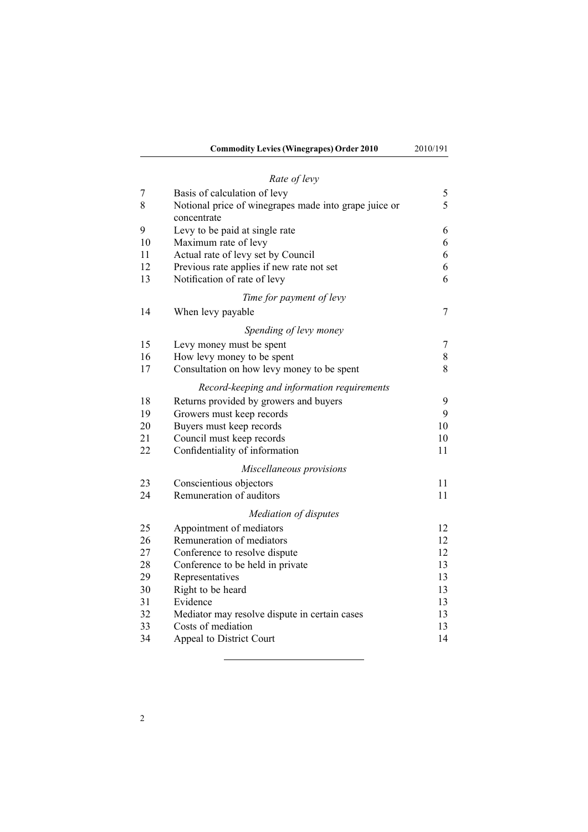## *Rate of [levy](#page-4-0)*

| 7  | Basis of calculation of levy                                         | 5  |
|----|----------------------------------------------------------------------|----|
| 8  | Notional price of winegrapes made into grape juice or<br>concentrate | 5  |
| 9  | Levy to be paid at single rate                                       | 6  |
| 10 | Maximum rate of levy                                                 | 6  |
| 11 | Actual rate of levy set by Council                                   | 6  |
| 12 | Previous rate applies if new rate not set                            | 6  |
| 13 | Notification of rate of levy                                         | 6  |
|    | Time for payment of levy                                             |    |
| 14 | When levy payable                                                    | 7  |
|    | Spending of levy money                                               |    |
| 15 | Levy money must be spent                                             | 7  |
| 16 | How levy money to be spent                                           | 8  |
| 17 | Consultation on how levy money to be spent                           | 8  |
|    | Record-keeping and information requirements                          |    |
| 18 | Returns provided by growers and buyers                               | 9  |
| 19 | Growers must keep records                                            | 9  |
| 20 | Buyers must keep records                                             | 10 |
| 21 | Council must keep records                                            | 10 |
| 22 | Confidentiality of information                                       | 11 |
|    | Miscellaneous provisions                                             |    |
| 23 | Conscientious objectors                                              | 11 |
| 24 | Remuneration of auditors                                             | 11 |
|    | Mediation of disputes                                                |    |
| 25 | Appointment of mediators                                             | 12 |
| 26 | Remuneration of mediators                                            | 12 |
| 27 | Conference to resolve dispute                                        | 12 |
| 28 | Conference to be held in private                                     | 13 |
| 29 | Representatives                                                      | 13 |
| 30 | Right to be heard                                                    | 13 |
| 31 | Evidence                                                             | 13 |
| 32 | Mediator may resolve dispute in certain cases                        | 13 |
| 33 | Costs of mediation                                                   | 13 |
| 34 | Appeal to District Court                                             | 14 |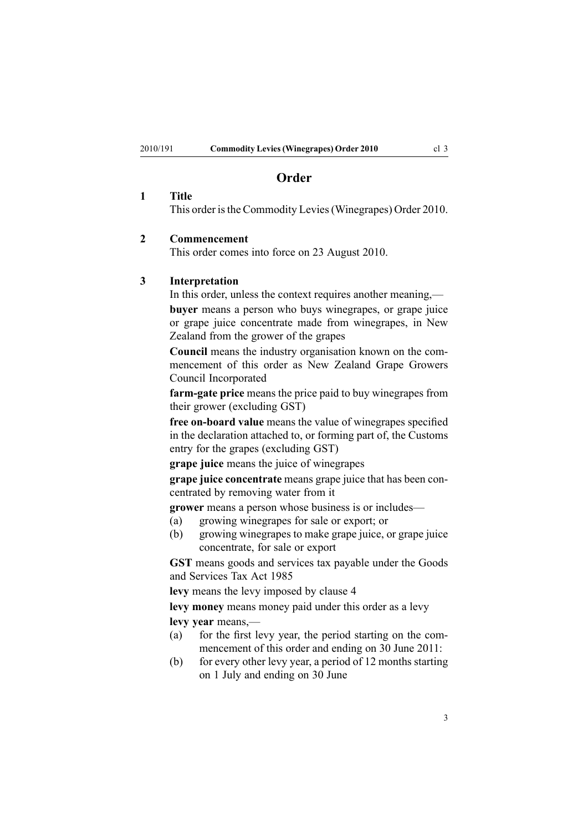## **Order**

#### <span id="page-2-0"></span>**1 Title**

This order is the Commodity Levies (Winegrapes) Order 2010.

#### **2 Commencement**

This order comes into force on 23 August 2010.

#### **3 Interpretation**

In this order, unless the context requires another meaning,—

**buyer** means <sup>a</sup> person who buys winegrapes, or grape juice or grape juice concentrate made from winegrapes, in New Zealand from the grower of the grapes

**Council** means the industry organisation known on the commencement of this order as New Zealand Grape Growers Council Incorporated

**farm-gate price** means the price paid to buy winegrapes from their grower (excluding GST)

**free on-board value** means the value of winegrapes specified in the declaration attached to, or forming par<sup>t</sup> of, the Customs entry for the grapes (excluding GST)

**grape juice** means the juice of winegrapes

**grape juice concentrate** means grape juice that has been concentrated by removing water from it

**grower** means <sup>a</sup> person whose business is or includes—

- (a) growing winegrapes for sale or export; or
- (b) growing winegrapes to make grape juice, or grape juice concentrate, for sale or expor<sup>t</sup>

**GST** means goods and services tax payable under the [Goods](http://www.legislation.govt.nz/pdflink.aspx?id=DLM81034) and [Services](http://www.legislation.govt.nz/pdflink.aspx?id=DLM81034) Tax Act 1985

**levy** means the levy imposed by [clause](#page-3-0) 4

**levy money** means money paid under this order as <sup>a</sup> levy **levy year** means,—

- (a) for the first levy year, the period starting on the commencement of this order and ending on 30 June 2011:
- (b) for every other levy year, <sup>a</sup> period of 12 months starting on 1 July and ending on 30 June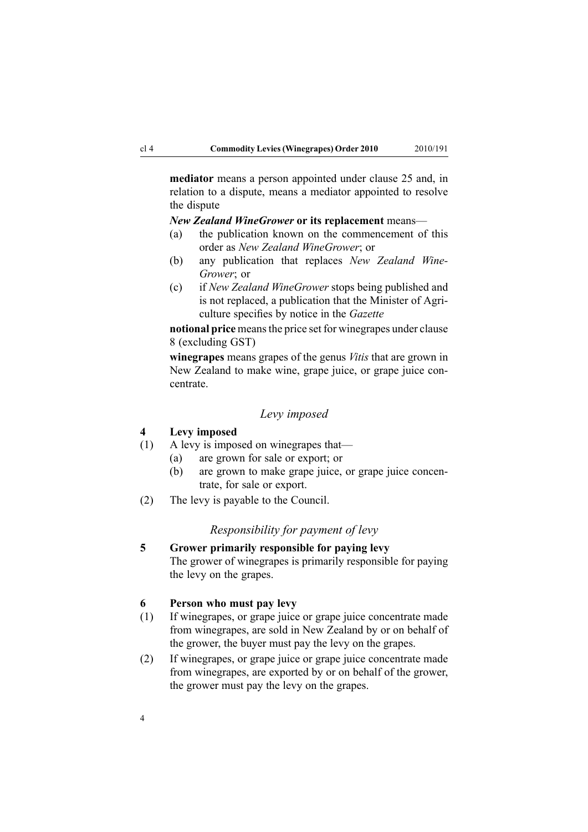<span id="page-3-0"></span>**mediator** means <sup>a</sup> person appointed under [clause](#page-11-0) 25 and, in relation to <sup>a</sup> dispute, means <sup>a</sup> mediator appointed to resolve the dispute

#### *New Zealand WineGrower* **or its replacement** means—

- (a) the publication known on the commencement of this order as *New Zealand WineGrower*; or
- (b) any publication that replaces *New Zealand Wine-Grower*; or
- (c) if *New Zealand WineGrower* stops being published and is not replaced, <sup>a</sup> publication that the Minister of Agriculture specifies by notice in the *Gazette*

**notional price** meansthe price set for winegrapes under [clause](#page-4-0) [8](#page-4-0) (excluding GST)

**winegrapes** means grapes of the genus *Vitis* that are grown in New Zealand to make wine, grape juice, or grape juice concentrate.

#### *Levy imposed*

## **4 Levy imposed**

- (1) A levy is imposed on winegrapes that—
	- (a) are grown for sale or export; or
	- (b) are grown to make grape juice, or grape juice concentrate, for sale or export.
- (2) The levy is payable to the Council.

#### *Responsibility for paymen<sup>t</sup> of levy*

**5 Grower primarily responsible for paying levy** The grower of winegrapes is primarily responsible for paying the levy on the grapes.

#### **6 Person who must pay levy**

- (1) If winegrapes, or grape juice or grape juice concentrate made from winegrapes, are sold in New Zealand by or on behalf of the grower, the buyer must pay the levy on the grapes.
- (2) If winegrapes, or grape juice or grape juice concentrate made from winegrapes, are exported by or on behalf of the grower, the grower must pay the levy on the grapes.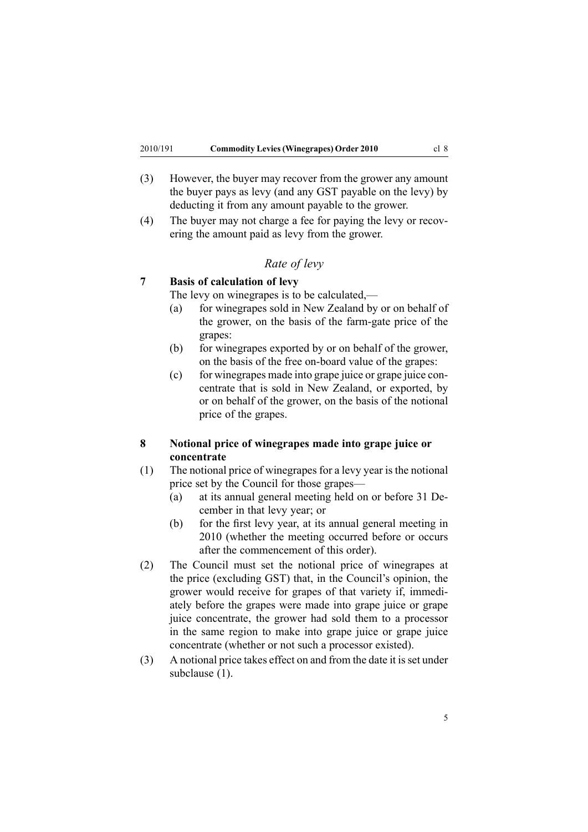- <span id="page-4-0"></span>(3) However, the buyer may recover from the grower any amount the buyer pays as levy (and any GST payable on the levy) by deducting it from any amount payable to the grower.
- (4) The buyer may not charge <sup>a</sup> fee for paying the levy or recovering the amount paid as levy from the grower.

## *Rate of levy*

## **7 Basis of calculation of levy**

The levy on winegrapes is to be calculated,—

- (a) for winegrapes sold in New Zealand by or on behalf of the grower, on the basis of the farm-gate price of the grapes:
- (b) for winegrapes exported by or on behalf of the grower, on the basis of the free on-board value of the grapes:
- (c) for winegrapes made into grape juice or grape juice concentrate that is sold in New Zealand, or exported, by or on behalf of the grower, on the basis of the notional price of the grapes.

## **8 Notional price of winegrapes made into grape juice or concentrate**

- (1) The notional price of winegrapes for <sup>a</sup> levy year is the notional price set by the Council for those grapes—
	- (a) at its annual general meeting held on or before 31 December in that levy year; or
	- (b) for the first levy year, at its annual general meeting in 2010 (whether the meeting occurred before or occurs after the commencement of this order).
- (2) The Council must set the notional price of winegrapes at the price (excluding GST) that, in the Council's opinion, the grower would receive for grapes of that variety if, immediately before the grapes were made into grape juice or grape juice concentrate, the grower had sold them to <sup>a</sup> processor in the same region to make into grape juice or grape juice concentrate (whether or not such <sup>a</sup> processor existed).
- (3) A notional price takes effect on and from the date it isset under subclause (1).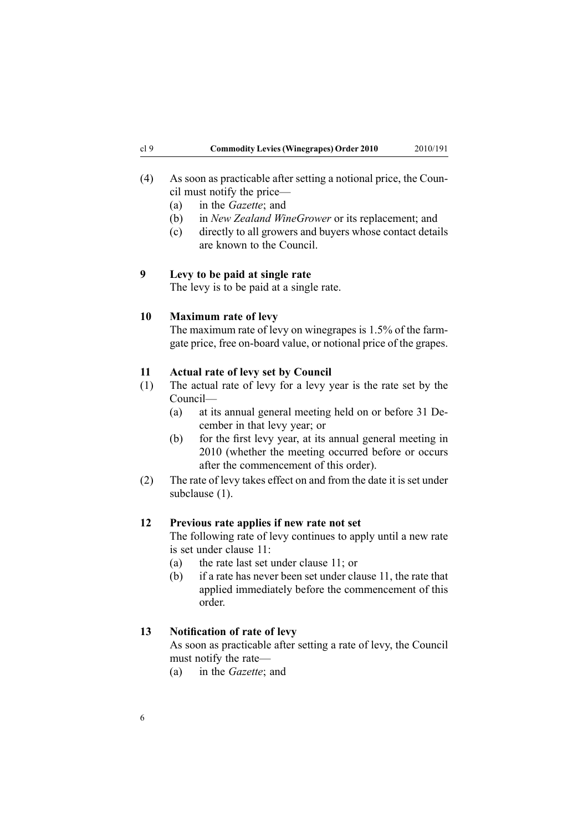- <span id="page-5-0"></span>(4) As soon as practicable after setting <sup>a</sup> notional price, the Council must notify the price—
	- (a) in the *Gazette*; and
	- (b) in *New Zealand WineGrower* or its replacement; and
	- (c) directly to all growers and buyers whose contact details are known to the Council.

#### **9 Levy to be paid at single rate**

The levy is to be paid at <sup>a</sup> single rate.

#### **10 Maximum rate of levy**

The maximum rate of levy on winegrapes is 1.5% of the farmgate price, free on-board value, or notional price of the grapes.

#### **11 Actual rate of levy set by Council**

- (1) The actual rate of levy for <sup>a</sup> levy year is the rate set by the Council—
	- (a) at its annual general meeting held on or before 31 December in that levy year; or
	- (b) for the first levy year, at its annual general meeting in 2010 (whether the meeting occurred before or occurs after the commencement of this order).
- (2) The rate of levy takes effect on and from the date it is set under subclause (1).

## **12 Previous rate applies if new rate not set**

The following rate of levy continues to apply until <sup>a</sup> new rate is set under clause 11:

- (a) the rate last set under clause 11; or
- (b) if <sup>a</sup> rate has never been set under clause 11, the rate that applied immediately before the commencement of this order.

#### **13 Notification of rate of levy**

As soon as practicable after setting <sup>a</sup> rate of levy, the Council must notify the rate—

(a) in the *Gazette*; and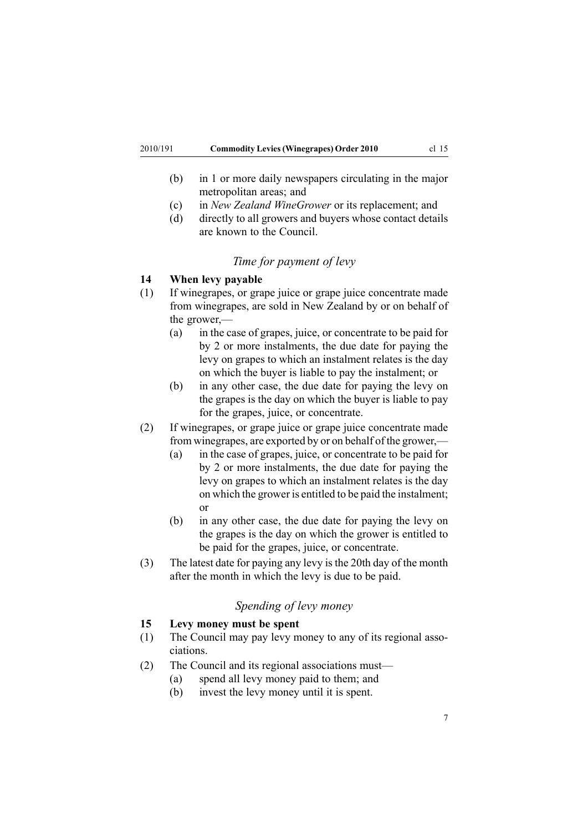- <span id="page-6-0"></span>(b) in 1 or more daily newspapers circulating in the major metropolitan areas; and
- (c) in *New Zealand WineGrower* or its replacement; and
- (d) directly to all growers and buyers whose contact details are known to the Council.

#### *Time for paymen<sup>t</sup> of levy*

#### **14 When levy payable**

- (1) If winegrapes, or grape juice or grape juice concentrate made from winegrapes, are sold in New Zealand by or on behalf of the grower,—
	- (a) in the case of grapes, juice, or concentrate to be paid for by 2 or more instalments, the due date for paying the levy on grapes to which an instalment relates is the day on which the buyer is liable to pay the instalment; or
	- (b) in any other case, the due date for paying the levy on the grapes is the day on which the buyer is liable to pay for the grapes, juice, or concentrate.
- (2) If winegrapes, or grape juice or grape juice concentrate made from winegrapes, are exported by or on behalf of the grower,—
	- (a) in the case of grapes, juice, or concentrate to be paid for by 2 or more instalments, the due date for paying the levy on grapes to which an instalment relates is the day on which the grower is entitled to be paid the instalment; or
	- (b) in any other case, the due date for paying the levy on the grapes is the day on which the grower is entitled to be paid for the grapes, juice, or concentrate.
- (3) The latest date for paying any levy isthe 20th day of the month after the month in which the levy is due to be paid.

## *Spending of levy money*

## **15 Levy money must be spent**

- (1) The Council may pay levy money to any of its regional associations.
- (2) The Council and its regional associations must—
	- (a) spend all levy money paid to them; and
	- (b) invest the levy money until it is spent.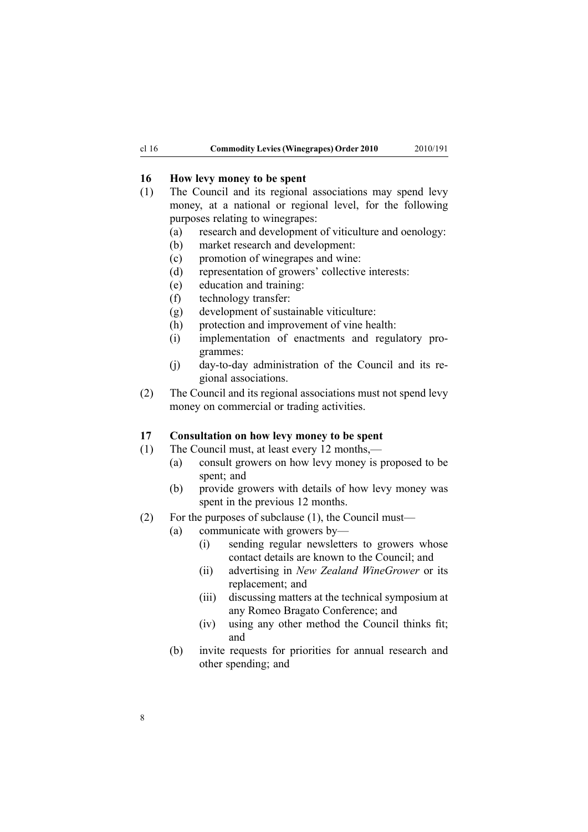#### <span id="page-7-0"></span>**16 How levy money to be spent**

- (1) The Council and its regional associations may spend levy money, at <sup>a</sup> national or regional level, for the following purposes relating to winegrapes:
	- (a) research and development of viticulture and oenology:
	- (b) market research and development:
	- (c) promotion of winegrapes and wine:
	- (d) representation of growers' collective interests:
	- (e) education and training:
	- (f) technology transfer:
	- (g) development of sustainable viticulture:
	- (h) protection and improvement of vine health:
	- (i) implementation of enactments and regulatory programmes:
	- (j) day-to-day administration of the Council and its regional associations.
- (2) The Council and its regional associations must not spend levy money on commercial or trading activities.

#### **17 Consultation on how levy money to be spent**

- (1) The Council must, at least every 12 months,—
	- (a) consult growers on how levy money is proposed to be spent; and
	- (b) provide growers with details of how levy money was spen<sup>t</sup> in the previous 12 months.
- (2) For the purposes of subclause (1), the Council must—
	- (a) communicate with growers by—
		- (i) sending regular newsletters to growers whose contact details are known to the Council; and
		- (ii) advertising in *New Zealand WineGrower* or its replacement; and
		- (iii) discussing matters at the technical symposium at any Romeo Bragato Conference; and
		- (iv) using any other method the Council thinks fit; and
		- (b) invite requests for priorities for annual research and other spending; and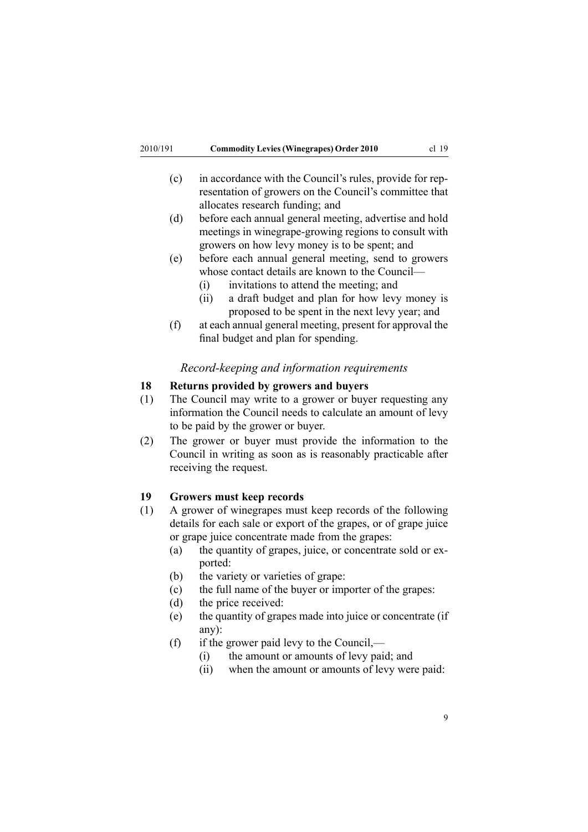- <span id="page-8-0"></span>(c) in accordance with the Council's rules, provide for representation of growers on the Council's committee that allocates research funding; and
- (d) before each annual general meeting, advertise and hold meetings in winegrape-growing regions to consult with growers on how levy money is to be spent; and
- (e) before each annual general meeting, send to growers whose contact details are known to the Council—
	- (i) invitations to attend the meeting; and
	- (ii) <sup>a</sup> draft budget and plan for how levy money is proposed to be spen<sup>t</sup> in the next levy year; and
- (f) at each annual general meeting, presen<sup>t</sup> for approval the final budget and plan for spending.

#### *Record-keeping and information requirements*

## **18 Returns provided by growers and buyers**

- (1) The Council may write to <sup>a</sup> grower or buyer requesting any information the Council needs to calculate an amount of levy to be paid by the grower or buyer.
- (2) The grower or buyer must provide the information to the Council in writing as soon as is reasonably practicable after receiving the request.

#### **19 Growers must keep records**

- (1) A grower of winegrapes must keep records of the following details for each sale or expor<sup>t</sup> of the grapes, or of grape juice or grape juice concentrate made from the grapes:
	- (a) the quantity of grapes, juice, or concentrate sold or exported:
	- (b) the variety or varieties of grape:
	- (c) the full name of the buyer or importer of the grapes:
	- (d) the price received:
	- (e) the quantity of grapes made into juice or concentrate (if any):
	- (f) if the grower paid levy to the Council,—
		- (i) the amount or amounts of levy paid; and
		- (ii) when the amount or amounts of levy were paid: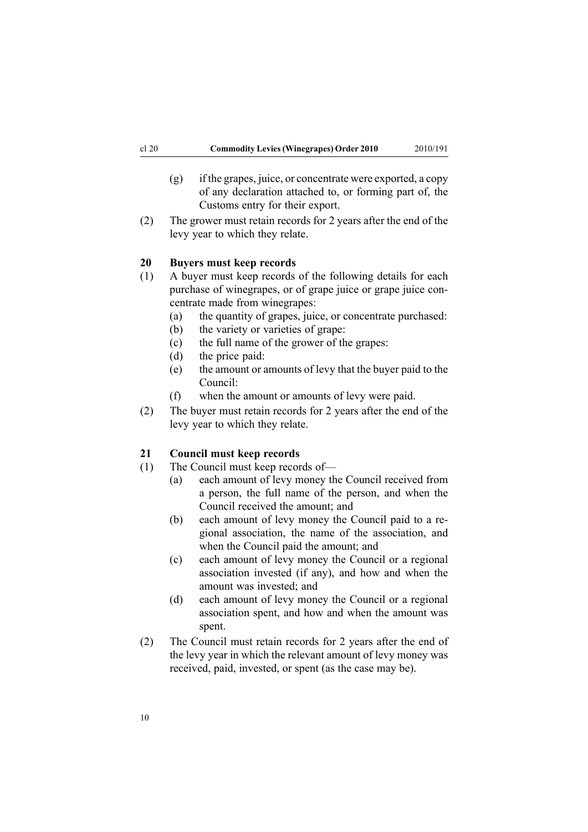- <span id="page-9-0"></span>(g) if the grapes, juice, or concentrate were exported, <sup>a</sup> copy of any declaration attached to, or forming par<sup>t</sup> of, the Customs entry for their export.
- (2) The grower must retain records for 2 years after the end of the levy year to which they relate.

#### **20 Buyers must keep records**

- (1) A buyer must keep records of the following details for each purchase of winegrapes, or of grape juice or grape juice concentrate made from winegrapes:
	- (a) the quantity of grapes, juice, or concentrate purchased:
	- (b) the variety or varieties of grape:
	- (c) the full name of the grower of the grapes:
	- (d) the price paid:
	- (e) the amount or amounts of levy that the buyer paid to the Council:
	- (f) when the amount or amounts of levy were paid.
- (2) The buyer must retain records for 2 years after the end of the levy year to which they relate.

## **21 Council must keep records**

- (1) The Council must keep records of—
	- (a) each amount of levy money the Council received from <sup>a</sup> person, the full name of the person, and when the Council received the amount; and
	- (b) each amount of levy money the Council paid to <sup>a</sup> regional association, the name of the association, and when the Council paid the amount; and
	- (c) each amount of levy money the Council or <sup>a</sup> regional association invested (if any), and how and when the amount was invested; and
	- (d) each amount of levy money the Council or <sup>a</sup> regional association spent, and how and when the amount was spent.
- (2) The Council must retain records for 2 years after the end of the levy year in which the relevant amount of levy money was received, paid, invested, or spen<sup>t</sup> (as the case may be).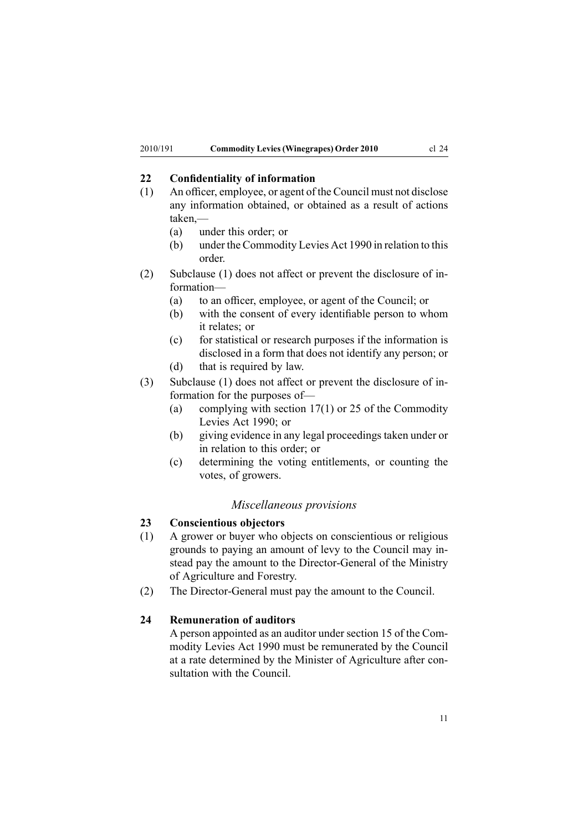## <span id="page-10-0"></span>**22 Confidentiality of information**

- (1) An officer, employee, or agen<sup>t</sup> of the Council must not disclose any information obtained, or obtained as <sup>a</sup> result of actions taken,—
	- (a) under this order; or
	- (b) under the [Commodity](http://www.legislation.govt.nz/pdflink.aspx?id=DLM226673) Levies Act 1990 in relation to this order.
- (2) Subclause (1) does not affect or preven<sup>t</sup> the disclosure of information—
	- (a) to an officer, employee, or agen<sup>t</sup> of the Council; or
	- (b) with the consent of every identifiable person to whom it relates; or
	- (c) for statistical or research purposes if the information is disclosed in <sup>a</sup> form that does not identify any person; or
	- (d) that is required by law.
- (3) Subclause (1) does not affect or preven<sup>t</sup> the disclosure of information for the purposes of—
	- (a) complying with [section](http://www.legislation.govt.nz/pdflink.aspx?id=DLM227345) 17(1) or [25](http://www.legislation.govt.nz/pdflink.aspx?id=DLM227355) of the Commodity Levies Act 1990; or
	- (b) giving evidence in any legal proceedings taken under or in relation to this order; or
	- (c) determining the voting entitlements, or counting the votes, of growers.

#### *Miscellaneous provisions*

#### **23 Conscientious objectors**

- (1) A grower or buyer who objects on conscientious or religious grounds to paying an amount of levy to the Council may instead pay the amount to the Director-General of the Ministry of Agriculture and Forestry.
- (2) The Director-General must pay the amount to the Council.

## **24 Remuneration of auditors**

A person appointed as an auditor under [section](http://www.legislation.govt.nz/pdflink.aspx?id=DLM227341) 15 of the Commodity Levies Act 1990 must be remunerated by the Council at <sup>a</sup> rate determined by the Minister of Agriculture after consultation with the Council.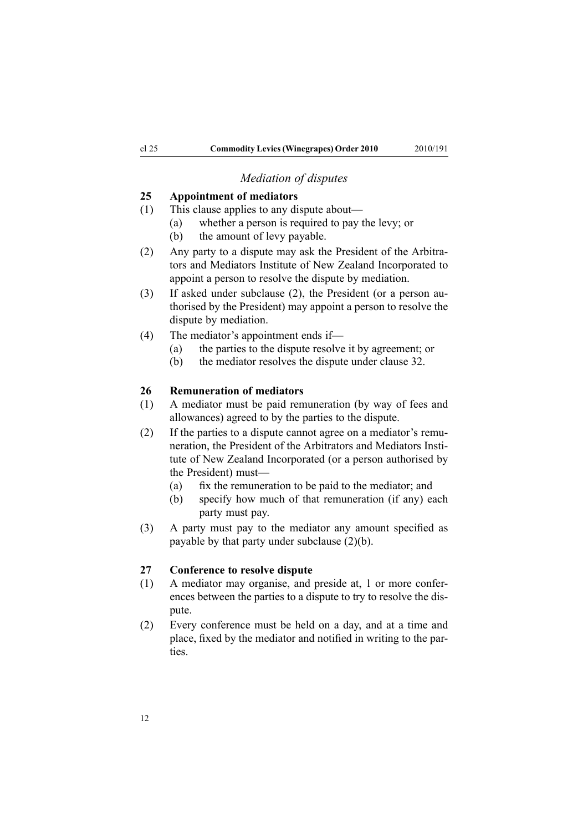## *Mediation of disputes*

#### <span id="page-11-0"></span>**25 Appointment of mediators**

- (1) This clause applies to any dispute about—
	- (a) whether <sup>a</sup> person is required to pay the levy; or
	- (b) the amount of levy payable.
- (2) Any party to <sup>a</sup> dispute may ask the President of the Arbitrators and Mediators Institute of New Zealand Incorporated to appoint <sup>a</sup> person to resolve the dispute by mediation.
- (3) If asked under subclause (2), the President (or <sup>a</sup> person authorised by the President) may appoint <sup>a</sup> person to resolve the dispute by mediation.
- (4) The mediator's appointment ends if—
	- (a) the parties to the dispute resolve it by agreement; or
	- (b) the mediator resolves the dispute under [clause](#page-12-0) 32.

#### **26 Remuneration of mediators**

- (1) A mediator must be paid remuneration (by way of fees and allowances) agreed to by the parties to the dispute.
- (2) If the parties to <sup>a</sup> dispute cannot agree on <sup>a</sup> mediator's remuneration, the President of the Arbitrators and Mediators Institute of New Zealand Incorporated (or <sup>a</sup> person authorised by the President) must—
	- (a) fix the remuneration to be paid to the mediator; and
	- (b) specify how much of that remuneration (if any) each party must pay.
- (3) A party must pay to the mediator any amount specified as payable by that party under subclause (2)(b).

#### **27 Conference to resolve dispute**

- (1) A mediator may organise, and preside at, 1 or more conferences between the parties to <sup>a</sup> dispute to try to resolve the dispute.
- (2) Every conference must be held on <sup>a</sup> day, and at <sup>a</sup> time and place, fixed by the mediator and notified in writing to the parties.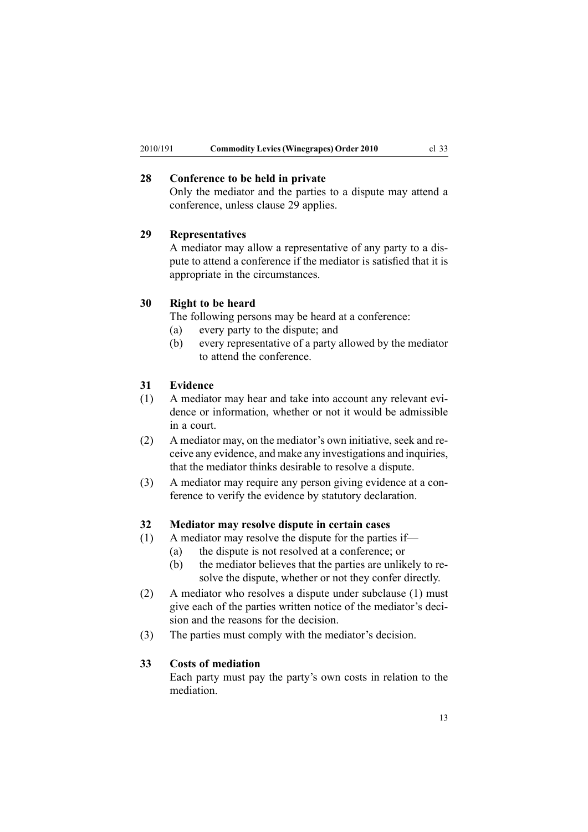## <span id="page-12-0"></span>**28 Conference to be held in private**

Only the mediator and the parties to <sup>a</sup> dispute may attend <sup>a</sup> conference, unless clause 29 applies.

## **29 Representatives**

A mediator may allow <sup>a</sup> representative of any party to <sup>a</sup> dispute to attend <sup>a</sup> conference if the mediator is satisfied that it is appropriate in the circumstances.

#### **30 Right to be heard**

The following persons may be heard at <sup>a</sup> conference:

- (a) every party to the dispute; and
- (b) every representative of <sup>a</sup> party allowed by the mediator to attend the conference.

#### **31 Evidence**

- (1) A mediator may hear and take into account any relevant evidence or information, whether or not it would be admissible in <sup>a</sup> court.
- (2) A mediator may, on the mediator's own initiative, seek and receive any evidence, and make any investigations and inquiries, that the mediator thinks desirable to resolve <sup>a</sup> dispute.
- (3) A mediator may require any person giving evidence at <sup>a</sup> conference to verify the evidence by statutory declaration.

#### **32 Mediator may resolve dispute in certain cases**

- (1) A mediator may resolve the dispute for the parties if—
	- (a) the dispute is not resolved at <sup>a</sup> conference; or
	- (b) the mediator believes that the parties are unlikely to resolve the dispute, whether or not they confer directly.
- (2) A mediator who resolves <sup>a</sup> dispute under subclause (1) must give each of the parties written notice of the mediator's decision and the reasons for the decision.
- (3) The parties must comply with the mediator's decision.

#### **33 Costs of mediation**

Each party must pay the party's own costs in relation to the mediation.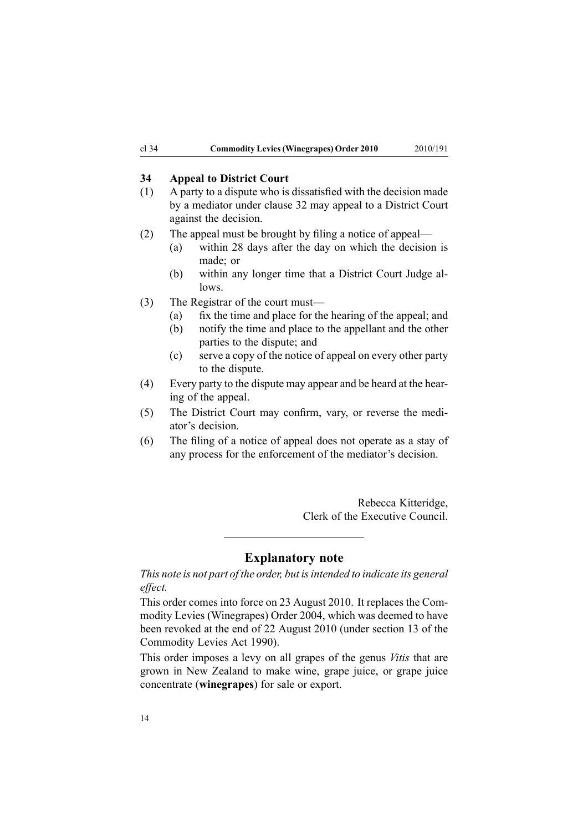## <span id="page-13-0"></span>**34 Appeal to District Court**

- (1) A party to <sup>a</sup> dispute who is dissatisfied with the decision made by <sup>a</sup> mediator under [clause](#page-12-0) 32 may appeal to <sup>a</sup> District Court against the decision.
- (2) The appeal must be brought by filing <sup>a</sup> notice of appeal—
	- (a) within 28 days after the day on which the decision is made; or
	- (b) within any longer time that <sup>a</sup> District Court Judge allows.
- (3) The Registrar of the court must—
	- (a) fix the time and place for the hearing of the appeal; and
	- (b) notify the time and place to the appellant and the other parties to the dispute; and
	- (c) serve <sup>a</sup> copy of the notice of appeal on every other party to the dispute.
- (4) Every party to the dispute may appear and be heard at the hearing of the appeal.
- (5) The District Court may confirm, vary, or reverse the mediator's decision.
- (6) The filing of <sup>a</sup> notice of appeal does not operate as <sup>a</sup> stay of any process for the enforcement of the mediator's decision.

Rebecca Kitteridge, Clerk of the Executive Council.

## **Explanatory note**

*This note is not par<sup>t</sup> of the order, but isintended to indicate its general effect.*

This order comes into force on 23 August 2010. It replaces the [Com](http://www.legislation.govt.nz/pdflink.aspx?id=DLM278967)modity Levies [\(Winegrapes\)](http://www.legislation.govt.nz/pdflink.aspx?id=DLM278967) Order 2004, which was deemed to have been revoked at the end of 22 August 2010 (under [section](http://www.legislation.govt.nz/pdflink.aspx?id=DLM227338) 13 of the Commodity Levies Act 1990).

This order imposes <sup>a</sup> levy on all grapes of the genus *Vitis* that are grown in New Zealand to make wine, grape juice, or grape juice concentrate (**winegrapes**) for sale or export.